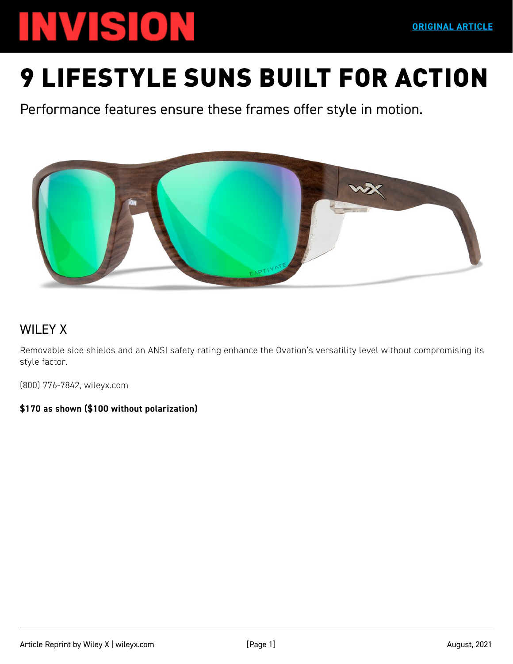## **INVISION**

Performance features ensure these frames offer style in motion.



## WILEY X

Removable side shields and an ANSI safety rating enhance the Ovation's versatility level without compromising its style factor.

(800) 776-7842, wileyx.com

**[\\$170 as shown \(\\$100 without polarization\)](https://www.wileyx.com)**

**ORIGINAL ARTICLE**